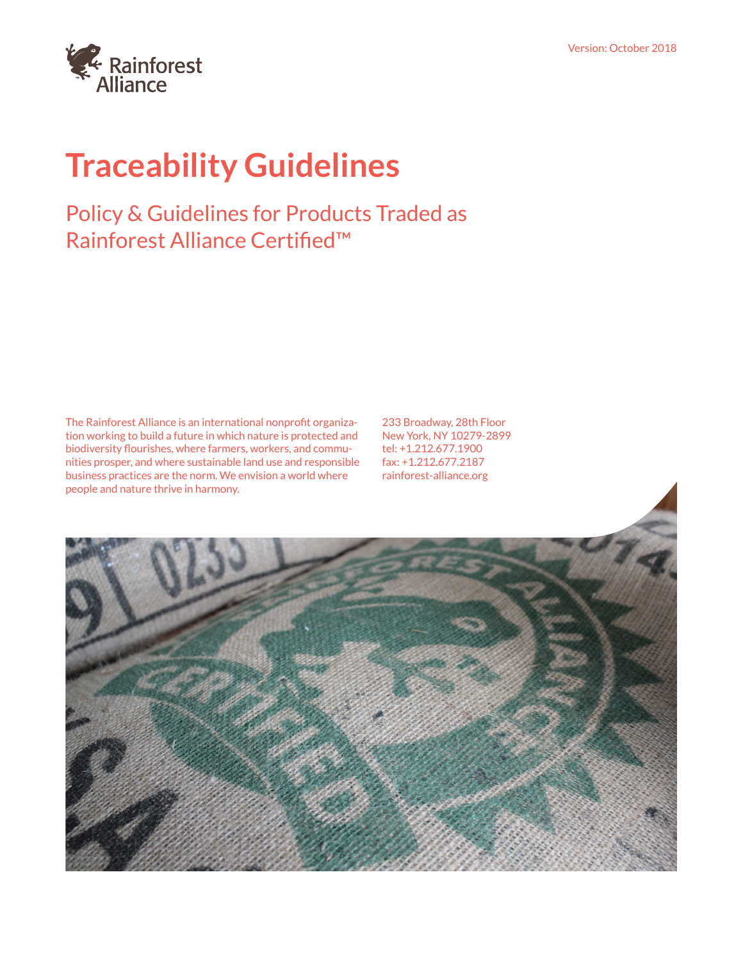# **Traceability Guidelines**

# Policy & Guidelines for Products Traded as Rainforest Alliance Certified™

The Rainforest Alliance is an international nonprofit organization working to build a future in which nature is protected and biodiversity flourishes, where farmers, workers, and communities prosper, and where sustainable land use and responsible business practices are the norm. We envision a world where people and nature thrive in harmony.

233 Broadway, 28th Floor New York, NY 10279-2899 tel: +1.212.677.1900 fax: +1.212.677.2187 rainforest-alliance.org

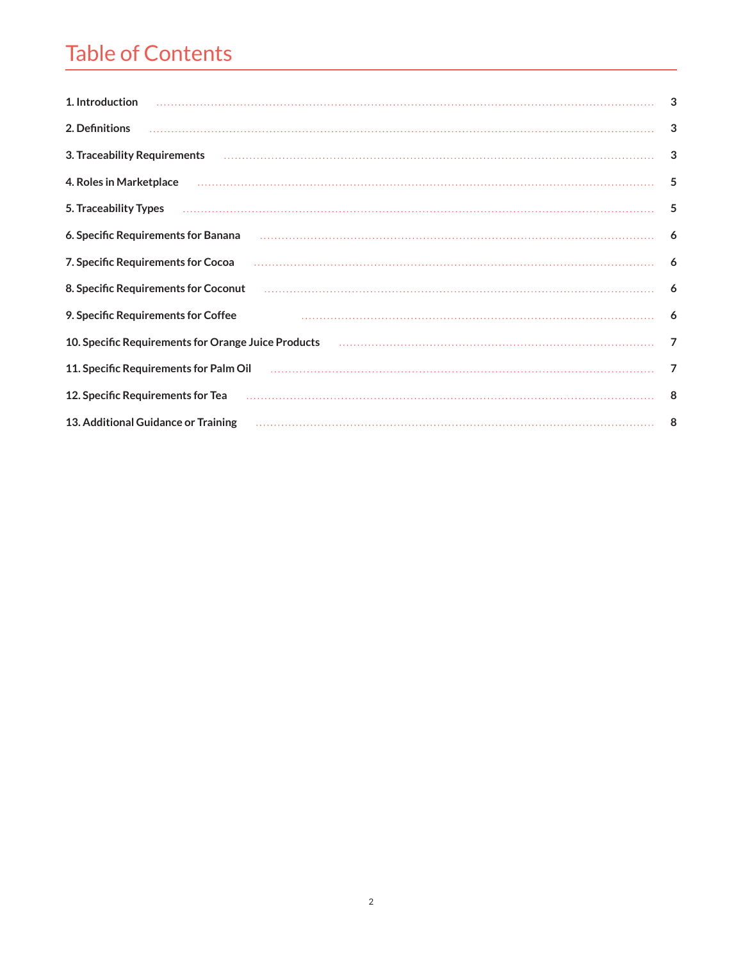# Table of Contents

| 1. Introduction                                                                                                                                                                                                                                                                                                                                                                                                                                                                                                                                  | 3 |
|--------------------------------------------------------------------------------------------------------------------------------------------------------------------------------------------------------------------------------------------------------------------------------------------------------------------------------------------------------------------------------------------------------------------------------------------------------------------------------------------------------------------------------------------------|---|
| 2. Definitions                                                                                                                                                                                                                                                                                                                                                                                                                                                                                                                                   | 3 |
| 3. Traceability Requirements поставленность и последним происходим по составляет происходим по составляет пост                                                                                                                                                                                                                                                                                                                                                                                                                                   | 3 |
| 4. Roles in Marketplace                                                                                                                                                                                                                                                                                                                                                                                                                                                                                                                          | 5 |
| $\label{prop:main} \begin{minipage}[t]{0.9\textwidth} \begin{minipage}[t]{0.9\textwidth} \centering \begin{minipage}[t]{0.9\textwidth} \centering \end{minipage}[t]{0.9\textwidth} \begin{minipage}[t]{0.9\textwidth} \centering \end{minipage}[t]{0.9\textwidth} \begin{minipage}[t]{0.9\textwidth} \centering \end{minipage}[t]{0.9\textwidth} \begin{minipage}[t]{0.9\textwidth} \centering \end{minipage}[t]{0.9\textwidth} \begin{minipage}[t]{0.9\textwidth} \centering \end{minipage}[t]{0.9\textwidth} \begin{$<br>5. Traceability Types | 5 |
| 6. Specific Requirements for Banana                                                                                                                                                                                                                                                                                                                                                                                                                                                                                                              | 6 |
| 7. Specific Requirements for Cocoa                                                                                                                                                                                                                                                                                                                                                                                                                                                                                                               | 6 |
| 8. Specific Requirements for Coconut                                                                                                                                                                                                                                                                                                                                                                                                                                                                                                             | 6 |
| 9. Specific Requirements for Coffee                                                                                                                                                                                                                                                                                                                                                                                                                                                                                                              | 6 |
|                                                                                                                                                                                                                                                                                                                                                                                                                                                                                                                                                  | 7 |
| 11. Specific Requirements for Palm Oil                                                                                                                                                                                                                                                                                                                                                                                                                                                                                                           | 7 |
| 12. Specific Requirements for Tea                                                                                                                                                                                                                                                                                                                                                                                                                                                                                                                | 8 |
| 13. Additional Guidance or Training                                                                                                                                                                                                                                                                                                                                                                                                                                                                                                              | 8 |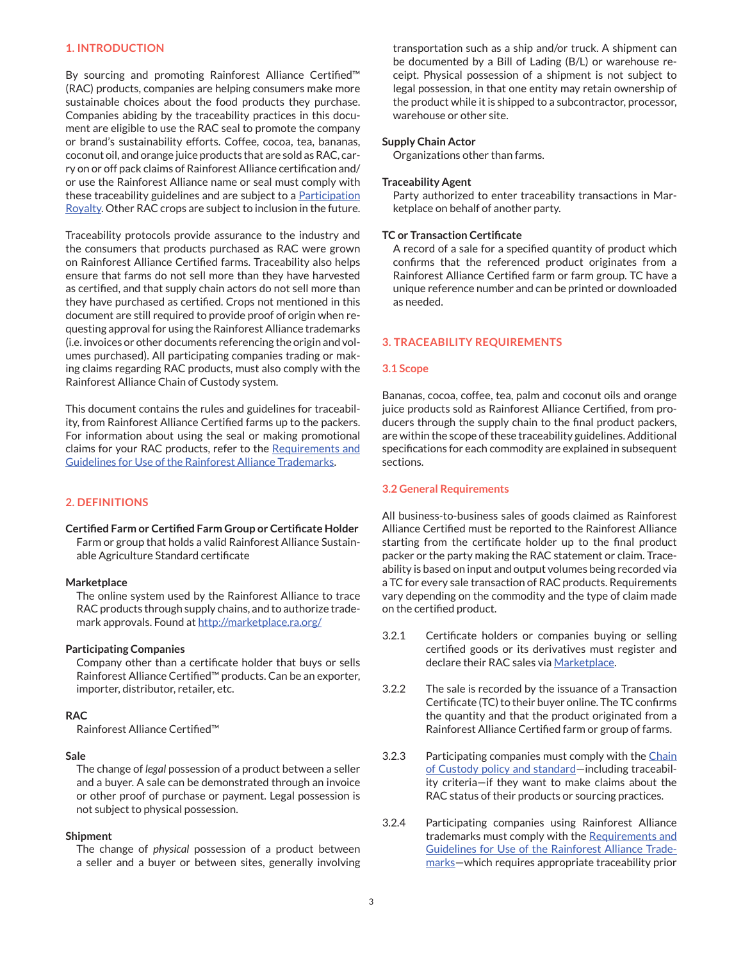# **1. INTRODUCTION**

By sourcing and promoting Rainforest Alliance Certified™ (RAC) products, companies are helping consumers make more sustainable choices about the food products they purchase. Companies abiding by the traceability practices in this document are eligible to use the RAC seal to promote the company or brand's sustainability efforts. Coffee, cocoa, tea, bananas, coconut oil, and orange juice products that are sold as RAC, carry on or off pack claims of Rainforest Alliance certification and/ or use the Rainforest Alliance name or seal must comply with these traceability guidelines and are subject to a **[Participation](https://www.rainforest-alliance.org/business/sas/get-certified/responsibilities-costs/)** [Royalty](https://www.rainforest-alliance.org/business/sas/get-certified/responsibilities-costs/). Other RAC crops are subject to inclusion in the future.

Traceability protocols provide assurance to the industry and the consumers that products purchased as RAC were grown on Rainforest Alliance Certified farms. Traceability also helps ensure that farms do not sell more than they have harvested as certified, and that supply chain actors do not sell more than they have purchased as certified. Crops not mentioned in this document are still required to provide proof of origin when requesting approval for using the Rainforest Alliance trademarks (i.e. invoices or other documents referencing the origin and volumes purchased). All participating companies trading or making claims regarding RAC products, must also comply with the Rainforest Alliance Chain of Custody system.

This document contains the rules and guidelines for traceability, from Rainforest Alliance Certified farms up to the packers. For information about using the seal or making promotional claims for your RAC products, refer to the [Requirements and](https://www.rainforest-alliance.org/business/sites/default/files/uploads/4/rainforest-alliance-marks-guide.pdf) [Guidelines for Use of the Rainforest Alliance Trademarks](https://www.rainforest-alliance.org/business/sites/default/files/uploads/4/rainforest-alliance-marks-guide.pdf).

#### **2. DEFINITIONS**

**Certified Farm or Certified Farm Group or Certificate Holder** Farm or group that holds a valid Rainforest Alliance Sustainable Agriculture Standard certificate

#### **Marketplace**

The online system used by the Rainforest Alliance to trace RAC products through supply chains, and to authorize trademark approvals. Found at<http://marketplace.ra.org/>

#### **Participating Companies**

Company other than a certificate holder that buys or sells Rainforest Alliance Certified™ products. Can be an exporter, importer, distributor, retailer, etc.

# **RAC**

Rainforest Alliance Certified™

#### **Sale**

The change of *legal* possession of a product between a seller and a buyer. A sale can be demonstrated through an invoice or other proof of purchase or payment. Legal possession is not subject to physical possession.

#### **Shipment**

The change of *physical* possession of a product between a seller and a buyer or between sites, generally involving transportation such as a ship and/or truck. A shipment can be documented by a Bill of Lading (B/L) or warehouse receipt. Physical possession of a shipment is not subject to legal possession, in that one entity may retain ownership of the product while it is shipped to a subcontractor, processor, warehouse or other site.

#### **Supply Chain Actor**

Organizations other than farms.

#### **Traceability Agent**

Party authorized to enter traceability transactions in Marketplace on behalf of another party.

#### **TC or Transaction Certificate**

A record of a sale for a specified quantity of product which confirms that the referenced product originates from a Rainforest Alliance Certified farm or farm group. TC have a unique reference number and can be printed or downloaded as needed.

#### **3. TRACEABILITY REQUIREMENTS**

#### **3.1 Scope**

Bananas, cocoa, coffee, tea, palm and coconut oils and orange juice products sold as Rainforest Alliance Certified, from producers through the supply chain to the final product packers, are within the scope of these traceability guidelines. Additional specifications for each commodity are explained in subsequent sections.

#### **3.2 General Requirements**

All business-to-business sales of goods claimed as Rainforest Alliance Certified must be reported to the Rainforest Alliance starting from the certificate holder up to the final product packer or the party making the RAC statement or claim. Traceability is based on input and output volumes being recorded via a TC for every sale transaction of RAC products. Requirements vary depending on the commodity and the type of claim made on the certified product.

- 3.2.1 Certificate holders or companies buying or selling certified goods or its derivatives must register and declare their RAC sales via [Marketplace](https://marketplace.ra.org/).
- 3.2.2 The sale is recorded by the issuance of a Transaction Certificate (TC) to their buyer online. The TC confirms the quantity and that the product originated from a Rainforest Alliance Certified farm or group of farms.
- 3.2.3 Participating companies must comply with the [Chain](https://www.rainforest-alliance.org/business/sas/how-certification-works/chain-of-custody/) of Custody policy and standard-including traceability criteria—if they want to make claims about the RAC status of their products or sourcing practices.
- 3.2.4 Participating companies using Rainforest Alliance trademarks must comply with the [Requirements and](https://www.rainforest-alliance.org/business/sites/default/files/uploads/4/rainforest-alliance-marks-guide.pdf) [Guidelines for Use of the Rainforest Alliance Trade](https://www.rainforest-alliance.org/business/sites/default/files/uploads/4/rainforest-alliance-marks-guide.pdf)[marks](https://www.rainforest-alliance.org/business/sites/default/files/uploads/4/rainforest-alliance-marks-guide.pdf)—which requires appropriate traceability prior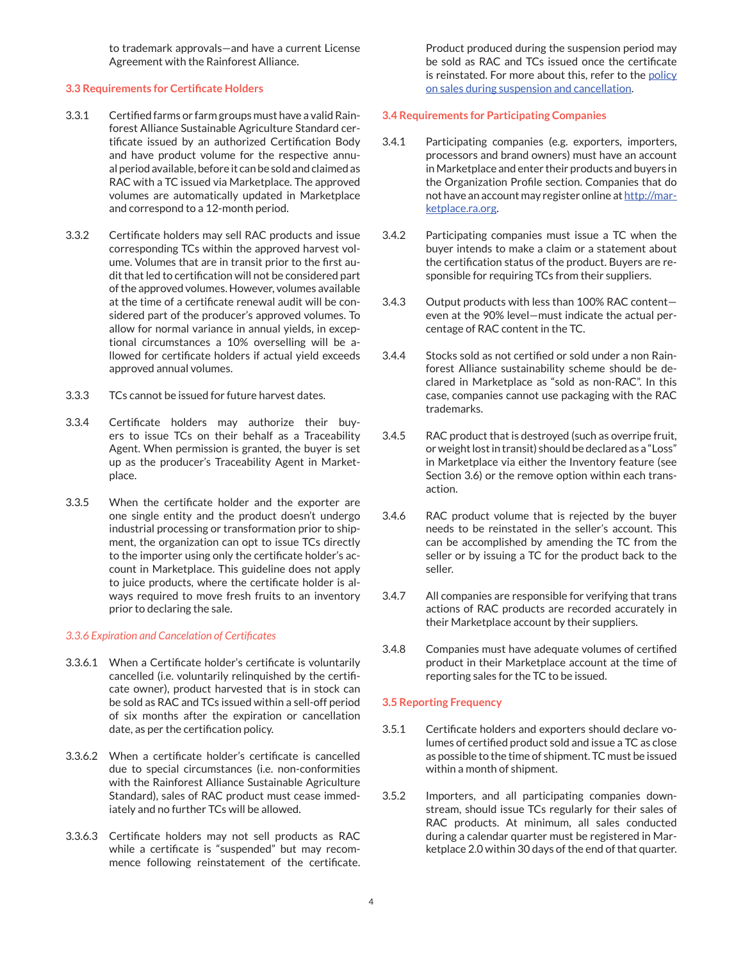to trademark approvals—and have a current License Agreement with the Rainforest Alliance.

# **3.3 Requirements for Certificate Holders**

- 3.3.1 Certified farms or farm groups must have a valid Rainforest Alliance Sustainable Agriculture Standard certificate issued by an authorized Certification Body and have product volume for the respective annual period available, before it can be sold and claimed as RAC with a TC issued via Marketplace. The approved volumes are automatically updated in Marketplace and correspond to a 12-month period.
- 3.3.2 Certificate holders may sell RAC products and issue corresponding TCs within the approved harvest volume. Volumes that are in transit prior to the first audit that led to certification will not be considered part of the approved volumes. However, volumes available at the time of a certificate renewal audit will be considered part of the producer's approved volumes. To allow for normal variance in annual yields, in exceptional circumstances a 10% overselling will be allowed for certificate holders if actual yield exceeds approved annual volumes.
- 3.3.3 TCs cannot be issued for future harvest dates.
- 3.3.4 Certificate holders may authorize their buyers to issue TCs on their behalf as a Traceability Agent. When permission is granted, the buyer is set up as the producer's Traceability Agent in Marketplace.
- 3.3.5 When the certificate holder and the exporter are one single entity and the product doesn't undergo industrial processing or transformation prior to shipment, the organization can opt to issue TCs directly to the importer using only the certificate holder's account in Marketplace. This guideline does not apply to juice products, where the certificate holder is always required to move fresh fruits to an inventory prior to declaring the sale.

# *3.3.6 Expiration and Cancelation of Certificates*

- 3.3.6.1 When a Certificate holder's certificate is voluntarily cancelled (i.e. voluntarily relinquished by the certificate owner), product harvested that is in stock can be sold as RAC and TCs issued within a sell-off period of six months after the expiration or cancellation date, as per the certification policy.
- 3.3.6.2 When a certificate holder's certificate is cancelled due to special circumstances (i.e. non-conformities with the Rainforest Alliance Sustainable Agriculture Standard), sales of RAC product must cease immediately and no further TCs will be allowed.
- 3.3.6.3 Certificate holders may not sell products as RAC while a certificate is "suspended" but may recommence following reinstatement of the certificate.

Product produced during the suspension period may be sold as RAC and TCs issued once the certificate is reinstated. For more about this, refer to the [policy](https://www.rainforest-alliance.org/business/sas/resource-item/rainforest-alliance-policy-sales-suspension-cancellation/) [on sales during suspension and cancellation.](https://www.rainforest-alliance.org/business/sas/resource-item/rainforest-alliance-policy-sales-suspension-cancellation/)

# **3.4 Requirements for Participating Companies**

- 3.4.1 Participating companies (e.g. exporters, importers, processors and brand owners) must have an account in Marketplace and enter their products and buyers in the Organization Profile section. Companies that do not have an account may register online at [http://mar](https://marketplace.ra.org/)[ketplace.ra.org](https://marketplace.ra.org/).
- 3.4.2 Participating companies must issue a TC when the buyer intends to make a claim or a statement about the certification status of the product. Buyers are responsible for requiring TCs from their suppliers.
- 3.4.3 Output products with less than 100% RAC content even at the 90% level—must indicate the actual percentage of RAC content in the TC.
- 3.4.4 Stocks sold as not certified or sold under a non Rainforest Alliance sustainability scheme should be declared in Marketplace as "sold as non-RAC". In this case, companies cannot use packaging with the RAC trademarks.
- 3.4.5 RAC product that is destroyed (such as overripe fruit, or weight lost in transit) should be declared as a "Loss" in Marketplace via either the Inventory feature (see Section 3.6) or the remove option within each transaction.
- 3.4.6 RAC product volume that is rejected by the buyer needs to be reinstated in the seller's account. This can be accomplished by amending the TC from the seller or by issuing a TC for the product back to the seller.
- 3.4.7 All companies are responsible for verifying that trans actions of RAC products are recorded accurately in their Marketplace account by their suppliers.
- 3.4.8 Companies must have adequate volumes of certified product in their Marketplace account at the time of reporting sales for the TC to be issued.

# **3.5 Reporting Frequency**

- 3.5.1 Certificate holders and exporters should declare volumes of certified product sold and issue a TC as close as possible to the time of shipment. TC must be issued within a month of shipment.
- 3.5.2 Importers, and all participating companies downstream, should issue TCs regularly for their sales of RAC products. At minimum, all sales conducted during a calendar quarter must be registered in Marketplace 2.0 within 30 days of the end of that quarter.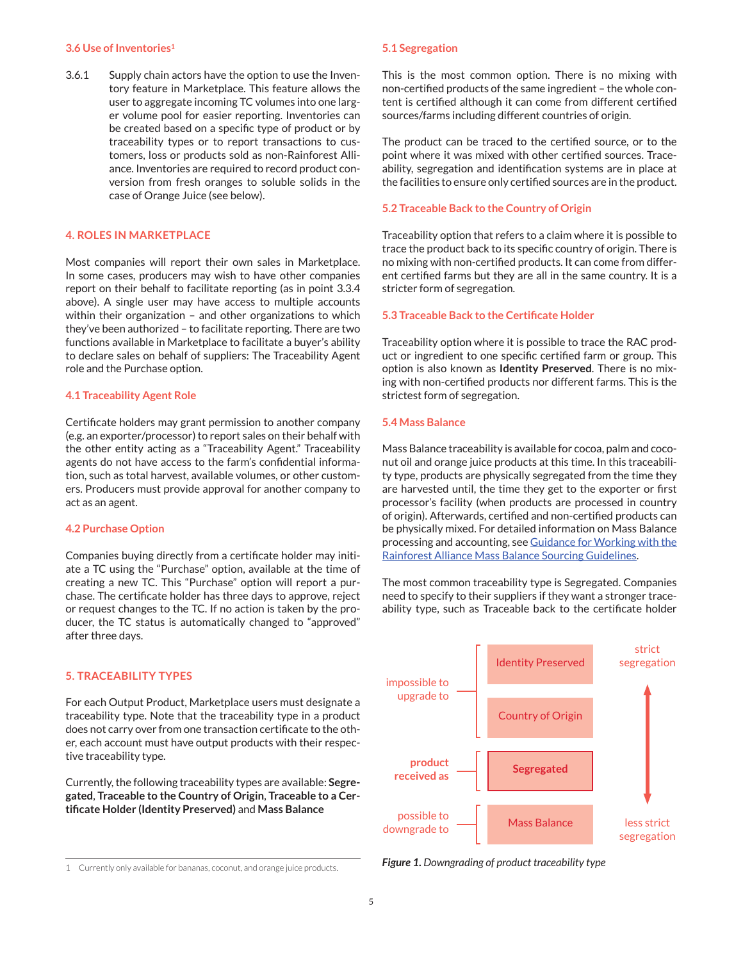#### **3.6 Use of Inventories<sup>1</sup>**

3.6.1 Supply chain actors have the option to use the Inventory feature in Marketplace. This feature allows the user to aggregate incoming TC volumes into one larger volume pool for easier reporting. Inventories can be created based on a specific type of product or by traceability types or to report transactions to customers, loss or products sold as non-Rainforest Alliance. Inventories are required to record product conversion from fresh oranges to soluble solids in the case of Orange Juice (see below).

# **4. ROLES IN MARKETPLACE**

Most companies will report their own sales in Marketplace. In some cases, producers may wish to have other companies report on their behalf to facilitate reporting (as in point 3.3.4 above). A single user may have access to multiple accounts within their organization – and other organizations to which they've been authorized – to facilitate reporting. There are two functions available in Marketplace to facilitate a buyer's ability to declare sales on behalf of suppliers: The Traceability Agent role and the Purchase option.

#### **4.1 Traceability Agent Role**

Certificate holders may grant permission to another company (e.g. an exporter/processor) to report sales on their behalf with the other entity acting as a "Traceability Agent." Traceability agents do not have access to the farm's confidential information, such as total harvest, available volumes, or other customers. Producers must provide approval for another company to act as an agent.

# **4.2 Purchase Option**

Companies buying directly from a certificate holder may initiate a TC using the "Purchase" option, available at the time of creating a new TC. This "Purchase" option will report a purchase. The certificate holder has three days to approve, reject or request changes to the TC. If no action is taken by the producer, the TC status is automatically changed to "approved" after three days.

# **5. TRACEABILITY TYPES**

For each Output Product, Marketplace users must designate a traceability type. Note that the traceability type in a product does not carry over from one transaction certificate to the other, each account must have output products with their respective traceability type.

Currently, the following traceability types are available: **Segregated**, **Traceable to the Country of Origin**, **Traceable to a Certificate Holder (Identity Preserved)** and **Mass Balance**

#### **5.1 Segregation**

This is the most common option. There is no mixing with non-certified products of the same ingredient – the whole content is certified although it can come from different certified sources/farms including different countries of origin.

The product can be traced to the certified source, or to the point where it was mixed with other certified sources. Traceability, segregation and identification systems are in place at the facilities to ensure only certified sources are in the product.

#### **5.2 Traceable Back to the Country of Origin**

Traceability option that refers to a claim where it is possible to trace the product back to its specific country of origin. There is no mixing with non-certified products. It can come from different certified farms but they are all in the same country. It is a stricter form of segregation.

#### **5.3 Traceable Back to the Certificate Holder**

Traceability option where it is possible to trace the RAC product or ingredient to one specific certified farm or group. This option is also known as **Identity Preserved**. There is no mixing with non-certified products nor different farms. This is the strictest form of segregation.

# **5.4 Mass Balance**

Mass Balance traceability is available for cocoa, palm and coconut oil and orange juice products at this time. In this traceability type, products are physically segregated from the time they are harvested until, the time they get to the exporter or first processor's facility (when products are processed in country of origin). Afterwards, certified and non-certified products can be physically mixed. For detailed information on Mass Balance processing and accounting, see [Guidance for Working with the](https://www.rainforest-alliance.org/business/sites/default/files/uploads/4/mass_balance_guidance_formatted_EN_170130.pdf) [Rainforest Alliance Mass Balance Sourcing Guidelines](https://www.rainforest-alliance.org/business/sites/default/files/uploads/4/mass_balance_guidance_formatted_EN_170130.pdf).

The most common traceability type is Segregated. Companies need to specify to their suppliers if they want a stronger traceability type, such as Traceable back to the certificate holder



*Figure 1. Downgrading of product traceability type*

<sup>1</sup> Currently only available for bananas, coconut, and orange juice products.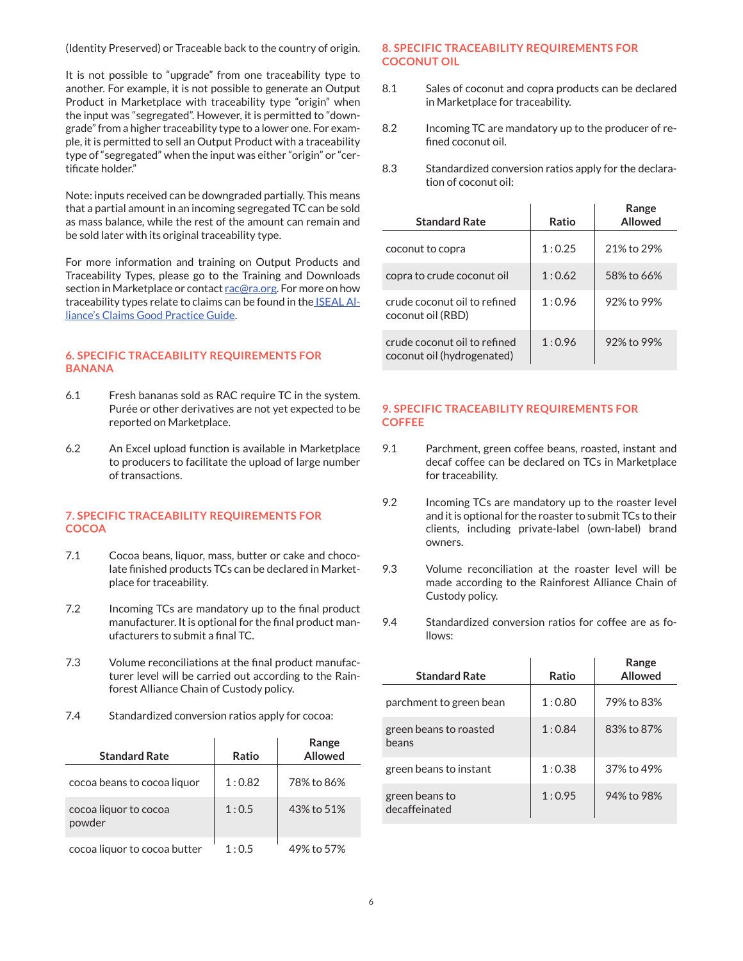(Identity Preserved) or Traceable back to the country of origin.

It is not possible to "upgrade" from one traceability type to another. For example, it is not possible to generate an Output Product in Marketplace with traceability type "origin" when the input was "segregated". However, it is permitted to "downgrade" from a higher traceability type to a lower one. For example, it is permitted to sell an Output Product with a traceability type of "segregated" when the input was either "origin" or "certificate holder."

Note: inputs received can be downgraded partially. This means that a partial amount in an incoming segregated TC can be sold as mass balance, while the rest of the amount can remain and be sold later with its original traceability type.

For more information and training on Output Products and Traceability Types, please go to the Training and Downloads section in Marketplace or contact [rac@ra.org](mailto:rac%40ra.org?subject=). For more on how traceability types relate to claims can be found in the [ISEAL Al](https://www.isealalliance.org/sites/default/files/resource/2017-11/ISEAL_Claims_Good_Practice_Guide.pdf)[liance's Claims Good Practice Guide](https://www.isealalliance.org/sites/default/files/resource/2017-11/ISEAL_Claims_Good_Practice_Guide.pdf).

# **6. SPECIFIC TRACEABILITY REQUIREMENTS FOR BANANA**

- 6.1 Fresh bananas sold as RAC require TC in the system. Purée or other derivatives are not yet expected to be reported on Marketplace.
- 6.2 An Excel upload function is available in Marketplace to producers to facilitate the upload of large number of transactions.

# **7. SPECIFIC TRACEABILITY REQUIREMENTS FOR COCOA**

- 7.1 Cocoa beans, liquor, mass, butter or cake and chocolate finished products TCs can be declared in Marketplace for traceability.
- 7.2 Incoming TCs are mandatory up to the final product manufacturer. It is optional for the final product manufacturers to submit a final TC.
- 7.3 Volume reconciliations at the final product manufacturer level will be carried out according to the Rainforest Alliance Chain of Custody policy.
- 7.4 Standardized conversion ratios apply for cocoa:

| <b>Standard Rate</b>            | Ratio  | Range<br>Allowed |
|---------------------------------|--------|------------------|
| cocoa beans to cocoa liquor     | 1:0.82 | 78% to 86%       |
| cocoa liquor to cocoa<br>powder | 1:0.5  | 43% to 51%       |
| cocoa liquor to cocoa butter    | 1:0.5  | 49% to 57%       |

# **8. SPECIFIC TRACEABILITY REQUIREMENTS FOR COCONUT OIL**

- 8.1 Sales of coconut and copra products can be declared in Marketplace for traceability.
- 8.2 Incoming TC are mandatory up to the producer of refined coconut oil.
- 8.3 Standardized conversion ratios apply for the declaration of coconut oil:

| <b>Standard Rate</b>                                       | Ratio  | Range<br>Allowed |
|------------------------------------------------------------|--------|------------------|
| coconut to copra                                           | 1:0.25 | 21% to 29%       |
| copra to crude coconut oil                                 | 1:0.62 | 58% to 66%       |
| crude coconut oil to refined<br>coconut oil (RBD)          | 1:0.96 | 92% to 99%       |
| crude coconut oil to refined<br>coconut oil (hydrogenated) | 1:0.96 | 92% to 99%       |

# **9. SPECIFIC TRACEABILITY REQUIREMENTS FOR COFFEE**

- 9.1 Parchment, green coffee beans, roasted, instant and decaf coffee can be declared on TCs in Marketplace for traceability.
- 9.2 Incoming TCs are mandatory up to the roaster level and it is optional for the roaster to submit TCs to their clients, including private-label (own-label) brand owners.
- 9.3 Volume reconciliation at the roaster level will be made according to the Rainforest Alliance Chain of Custody policy.
- 9.4 Standardized conversion ratios for coffee are as follows:

| <b>Standard Rate</b>            | Ratio  | Range<br><b>Allowed</b> |
|---------------------------------|--------|-------------------------|
| parchment to green bean         | 1:0.80 | 79% to 83%              |
| green beans to roasted<br>beans | 1:0.84 | 83% to 87%              |
| green beans to instant          | 1:0.38 | 37% to 49%              |
| green beans to<br>decaffeinated | 1:0.95 | 94% to 98%              |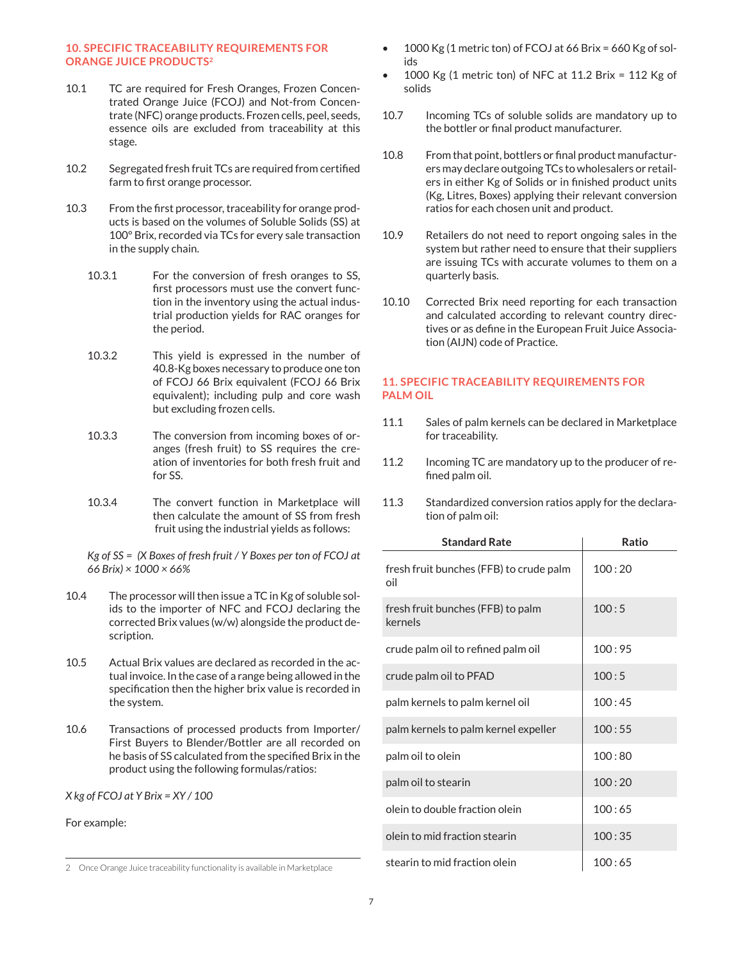# **10. SPECIFIC TRACEABILITY REQUIREMENTS FOR ORANGE JUICE PRODUCTS<sup>2</sup>**

- 10.1 TC are required for Fresh Oranges, Frozen Concentrated Orange Juice (FCOJ) and Not-from Concentrate (NFC) orange products. Frozen cells, peel, seeds, essence oils are excluded from traceability at this stage.
- 10.2 Segregated fresh fruit TCs are required from certified farm to first orange processor.
- 10.3 From the first processor, traceability for orange products is based on the volumes of Soluble Solids (SS) at 100º Brix, recorded via TCs for every sale transaction in the supply chain.
	- 10.3.1 For the conversion of fresh oranges to SS, first processors must use the convert func tion in the inventory using the actual indus trial production yields for RAC oranges for the period.
	- 10.3.2 This yield is expressed in the number of 40.8-Kg boxes necessary to produce one ton of FCOJ 66 Brix equivalent (FCOJ 66 Brix equivalent); including pulp and core wash but excluding frozen cells.
	- 10.3.3 The conversion from incoming boxes of oranges (fresh fruit) to SS requires the cre ation of inventories for both fresh fruit and for SS.
	- 10.3.4 The convert function in Marketplace will then calculate the amount of SS from fresh fruit using the industrial yields as follows:

*Kg of SS = (X Boxes of fresh fruit / Y Boxes per ton of FCOJ at 66 Brix) × 1000 × 66%*

- 10.4 The processor will then issue a TC in Kg of soluble solids to the importer of NFC and FCOJ declaring the corrected Brix values (w/w) alongside the product description.
- 10.5 Actual Brix values are declared as recorded in the actual invoice. In the case of a range being allowed in the specification then the higher brix value is recorded in the system.
- 10.6 Transactions of processed products from Importer/ First Buyers to Blender/Bottler are all recorded on he basis of SS calculated from the specified Brix in the product using the following formulas/ratios:

*X kg of FCOJ at Y Brix = XY / 100*

For example:

- 1000 Kg (1 metric ton) of FCOJ at 66 Brix = 660 Kg of solids
- 1000 Kg (1 metric ton) of NFC at 11.2 Brix = 112 Kg of solids
- 10.7 Incoming TCs of soluble solids are mandatory up to the bottler or final product manufacturer.
- 10.8 From that point, bottlers or final product manufacturers may declare outgoing TCs to wholesalers or retailers in either Kg of Solids or in finished product units (Kg, Litres, Boxes) applying their relevant conversion ratios for each chosen unit and product.
- 10.9 Retailers do not need to report ongoing sales in the system but rather need to ensure that their suppliers are issuing TCs with accurate volumes to them on a quarterly basis.
- 10.10 Corrected Brix need reporting for each transaction and calculated according to relevant country directives or as define in the European Fruit Juice Association (AIJN) code of Practice.

# **11. SPECIFIC TRACEABILITY REQUIREMENTS FOR PALM OIL**

- 11.1 Sales of palm kernels can be declared in Marketplace for traceability.
- 11.2 Incoming TC are mandatory up to the producer of refined palm oil.
- 11.3 Standardized conversion ratios apply for the declaration of palm oil:

| <b>Standard Rate</b>                           | Ratio  |
|------------------------------------------------|--------|
| fresh fruit bunches (FFB) to crude palm<br>oil | 100:20 |
| fresh fruit bunches (FFB) to palm<br>kernels   | 100:5  |
| crude palm oil to refined palm oil             | 100:95 |
| crude palm oil to PFAD                         | 100:5  |
| palm kernels to palm kernel oil                | 100:45 |
| palm kernels to palm kernel expeller           | 100:55 |
| palm oil to olein                              | 100:80 |
| palm oil to stearin                            | 100:20 |
| olein to double fraction olein                 | 100:65 |
| olein to mid fraction stearin                  | 100:35 |
| stearin to mid fraction olein                  | 100:65 |

<sup>2</sup> Once Orange Juice traceability functionality is available in Marketplace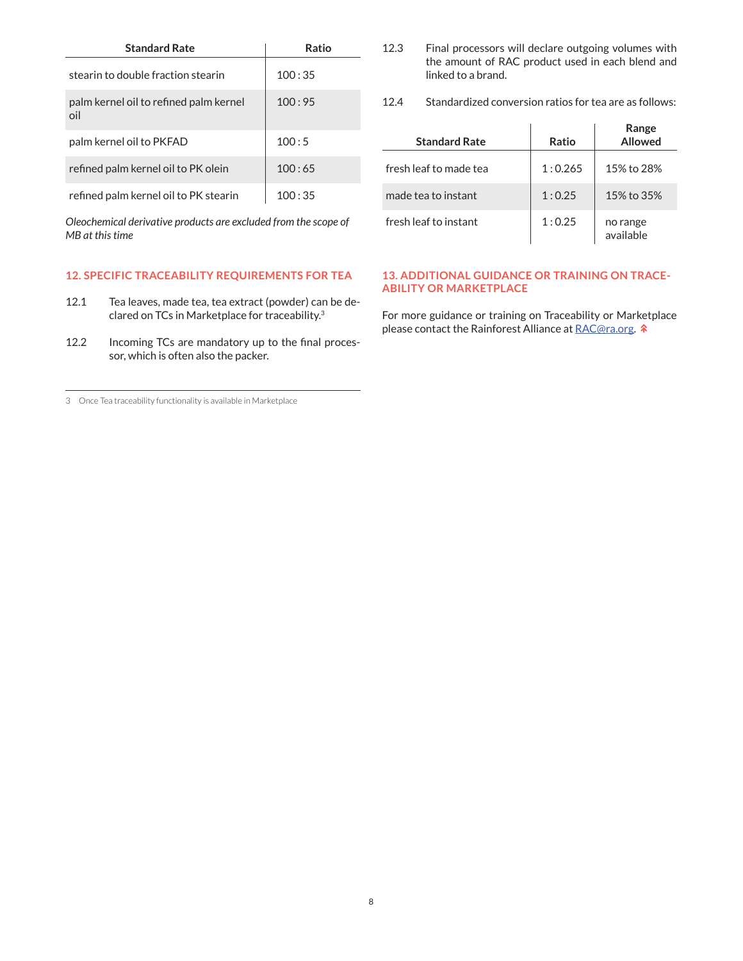| <b>Standard Rate</b>                          | Ratio  |
|-----------------------------------------------|--------|
| stearin to double fraction stearin            | 100:35 |
| palm kernel oil to refined palm kernel<br>oil | 100:95 |
| palm kernel oil to PKFAD                      | 100:5  |
| refined palm kernel oil to PK olein           | 100:65 |
| refined palm kernel oil to PK stearin         | 100:35 |

*Oleochemical derivative products are excluded from the scope of MB at this time*

# **12. SPECIFIC TRACEABILITY REQUIREMENTS FOR TEA**

- 12.1 Tea leaves, made tea, tea extract (powder) can be declared on TCs in Marketplace for traceability.<sup>3</sup>
- 12.2 Incoming TCs are mandatory up to the final processor, which is often also the packer.

3 Once Tea traceability functionality is available in Marketplace

- 12.3 Final processors will declare outgoing volumes with the amount of RAC product used in each blend and linked to a brand.
- 12.4 Standardized conversion ratios for tea are as follows:

| <b>Standard Rate</b>   | Ratio   | Range<br>Allowed      |
|------------------------|---------|-----------------------|
| fresh leaf to made tea | 1:0.265 | 15% to 28%            |
| made tea to instant    | 1:0.25  | 15% to 35%            |
| fresh leaf to instant  | 1:0.25  | no range<br>available |

# **13. ADDITIONAL GUIDANCE OR TRAINING ON TRACE-ABILITY OR MARKETPLACE**

For more guidance or training on Traceability or Marketplace please contact the Rainforest Alliance at [RAC@ra.org.](mailto:%20RAC%40ra.org?subject=)  $\hat{\ast}$